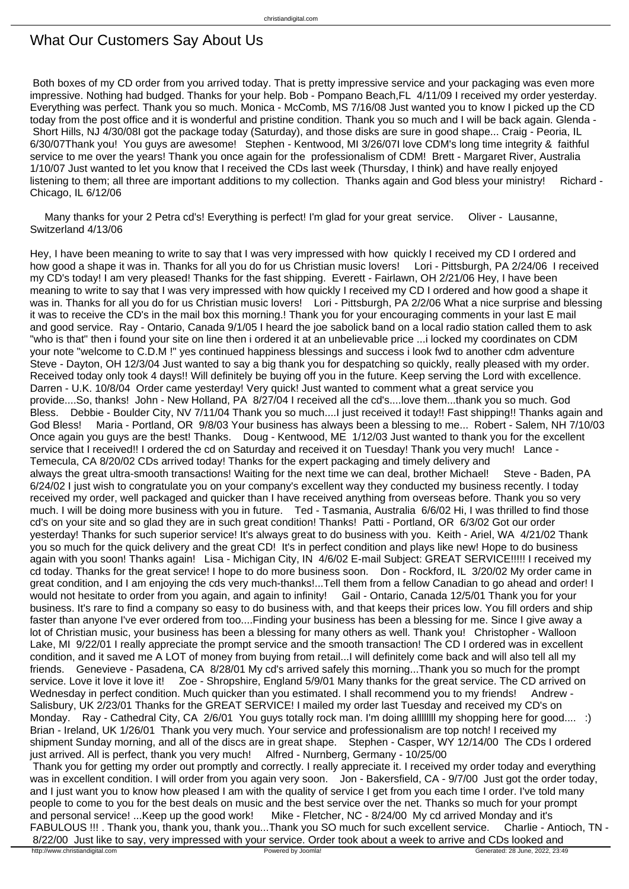## What Our Customers Say About Us

 Both boxes of my CD order from you arrived today. That is pretty impressive service and your packaging was even more impressive. Nothing had budged. Thanks for your help. Bob - Pompano Beach,FL 4/11/09 I received my order yesterday. Everything was perfect. Thank you so much. Monica - McComb, MS 7/16/08 Just wanted you to know I picked up the CD today from the post office and it is wonderful and pristine condition. Thank you so much and I will be back again. Glenda - Short Hills, NJ 4/30/08I got the package today (Saturday), and those disks are sure in good shape... Craig - Peoria, IL 6/30/07Thank you! You guys are awesome! Stephen - Kentwood, MI 3/26/07I love CDM's long time integrity & faithful service to me over the years! Thank you once again for the professionalism of CDM! Brett - Margaret River, Australia 1/10/07 Just wanted to let you know that I received the CDs last week (Thursday, I think) and have really enjoyed listening to them; all three are important additions to my collection. Thanks again and God bless your ministry! Richard - Chicago, IL 6/12/06

 Many thanks for your 2 Petra cd's! Everything is perfect! I'm glad for your great service. Oliver - Lausanne, Switzerland 4/13/06

Hey, I have been meaning to write to say that I was very impressed with how quickly I received my CD I ordered and how good a shape it was in. Thanks for all you do for us Christian music lovers! Lori - Pittsburgh, PA 2/24/06 I received my CD's today! I am very pleased! Thanks for the fast shipping. Everett - Fairlawn, OH 2/21/06 Hey, I have been meaning to write to say that I was very impressed with how quickly I received my CD I ordered and how good a shape it was in. Thanks for all you do for us Christian music lovers! Lori - Pittsburgh, PA 2/2/06 What a nice surprise and blessing it was to receive the CD's in the mail box this morning.! Thank you for your encouraging comments in your last E mail and good service. Ray - Ontario, Canada 9/1/05 I heard the joe sabolick band on a local radio station called them to ask "who is that" then i found your site on line then i ordered it at an unbelievable price ...i locked my coordinates on CDM your note "welcome to C.D.M !" yes continued happiness blessings and success i look fwd to another cdm adventure Steve - Dayton, OH 12/3/04 Just wanted to say a big thank you for despatching so quickly, really pleased with my order. Received today only took 4 days!! Will definitely be buying off you in the future. Keep serving the Lord with excellence. Darren - U.K. 10/8/04 Order came yesterday! Very quick! Just wanted to comment what a great service you provide....So, thanks! John - New Holland, PA 8/27/04 I received all the cd's....love them...thank you so much. God Bless. Debbie - Boulder City, NV 7/11/04 Thank you so much....I just received it today!! Fast shipping!! Thanks again and God Bless! Maria - Portland, OR 9/8/03 Your business has always been a blessing to me... Robert - Salem, NH 7/10/03 Once again you guys are the best! Thanks. Doug - Kentwood, ME 1/12/03 Just wanted to thank you for the excellent service that I received!! I ordered the cd on Saturday and received it on Tuesday! Thank you very much! Lance -Temecula, CA 8/20/02 CDs arrived today! Thanks for the expert packaging and timely delivery and always the great ultra-smooth transactions! Waiting for the next time we can deal, brother Michael! Steve - Baden, PA 6/24/02 I just wish to congratulate you on your company's excellent way they conducted my business recently. I today received my order, well packaged and quicker than I have received anything from overseas before. Thank you so very much. I will be doing more business with you in future. Ted - Tasmania, Australia 6/6/02 Hi, I was thrilled to find those cd's on your site and so glad they are in such great condition! Thanks! Patti - Portland, OR 6/3/02 Got our order yesterday! Thanks for such superior service! It's always great to do business with you. Keith - Ariel, WA 4/21/02 Thank you so much for the quick delivery and the great CD! It's in perfect condition and plays like new! Hope to do business again with you soon! Thanks again! Lisa - Michigan City, IN 4/6/02 E-mail Subject: GREAT SERVICE!!!!! I received my cd today. Thanks for the great service! I hope to do more business soon. Don - Rockford, IL 3/20/02 My order came in great condition, and I am enjoying the cds very much-thanks!...Tell them from a fellow Canadian to go ahead and order! I would not hesitate to order from you again, and again to infinity! Gail - Ontario, Canada 12/5/01 Thank you for your business. It's rare to find a company so easy to do business with, and that keeps their prices low. You fill orders and ship faster than anyone I've ever ordered from too....Finding your business has been a blessing for me. Since I give away a lot of Christian music, your business has been a blessing for many others as well. Thank you! Christopher - Walloon Lake, MI 9/22/01 I really appreciate the prompt service and the smooth transaction! The CD I ordered was in excellent condition, and it saved me A LOT of money from buying from retail...I will definitely come back and will also tell all my friends. Genevieve - Pasadena, CA 8/28/01 My cd's arrived safely this morning...Thank you so much for the prompt service. Love it love it love it! Zoe - Shropshire, England 5/9/01 Many thanks for the great service. The CD arrived on Wednesday in perfect condition. Much quicker than you estimated. I shall recommend you to my friends! Andrew -Salisbury, UK 2/23/01 Thanks for the GREAT SERVICE! I mailed my order last Tuesday and received my CD's on Monday. Ray - Cathedral City, CA 2/6/01 You guys totally rock man. I'm doing allllllll my shopping here for good.... :) Brian - Ireland, UK 1/26/01 Thank you very much. Your service and professionalism are top notch! I received my shipment Sunday morning, and all of the discs are in great shape. Stephen - Casper, WY 12/14/00 The CDs I ordered just arrived. All is perfect, thank you very much! Alfred - Nurnberg, Germany - 10/25/00

 Thank you for getting my order out promptly and correctly. I really appreciate it. I received my order today and everything was in excellent condition. I will order from you again very soon. Jon - Bakersfield, CA - 9/7/00 Just got the order today, and I just want you to know how pleased I am with the quality of service I get from you each time I order. I've told many people to come to you for the best deals on music and the best service over the net. Thanks so much for your prompt and personal service! ... Keep up the good work! Mike - Fletcher, NC - 8/24/00 My cd arrived Monday and it's FABULOUS !!! . Thank you, thank you, thank you...Thank you SO much for such excellent service. Charlie - Antioch, TN - 8/22/00 Just like to say, very impressed with your service. Order took about a week to arrive and CDs looked and<br>Bowered by Joomlal Powered by Joomlal Comerated: 28 June, 2022, 23:49